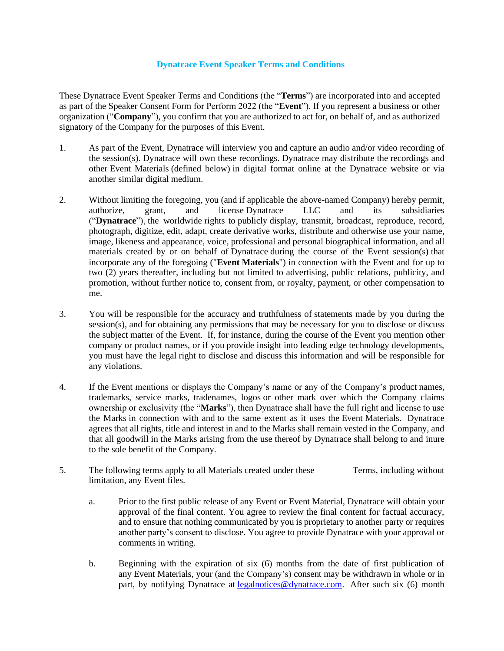## **Dynatrace Event Speaker Terms and Conditions**

These Dynatrace Event Speaker Terms and Conditions (the "**Terms**") are incorporated into and accepted as part of the Speaker Consent Form for Perform 2022 (the "**Event**"). If you represent a business or other organization ("**Company**"), you confirm that you are authorized to act for, on behalf of, and as authorized signatory of the Company for the purposes of this Event.

- 1. As part of the Event, Dynatrace will interview you and capture an audio and/or video recording of the session(s). Dynatrace will own these recordings. Dynatrace may distribute the recordings and other Event Materials (defined below) in digital format online at the Dynatrace website or via another similar digital medium.
- 2. Without limiting the foregoing, you (and if applicable the above-named Company) hereby permit, authorize, grant, and license Dynatrace LLC and its subsidiaries ("**Dynatrace**"), the worldwide rights to publicly display, transmit, broadcast, reproduce, record, photograph, digitize, edit, adapt, create derivative works, distribute and otherwise use your name, image, likeness and appearance, voice, professional and personal biographical information, and all materials created by or on behalf of Dynatrace during the course of the Event session(s) that incorporate any of the foregoing ("**Event Materials**") in connection with the Event and for up to two (2) years thereafter, including but not limited to advertising, public relations, publicity, and promotion, without further notice to, consent from, or royalty, payment, or other compensation to me.
- 3. You will be responsible for the accuracy and truthfulness of statements made by you during the session(s), and for obtaining any permissions that may be necessary for you to disclose or discuss the subject matter of the Event. If, for instance, during the course of the Event you mention other company or product names, or if you provide insight into leading edge technology developments, you must have the legal right to disclose and discuss this information and will be responsible for any violations.
- 4. If the Event mentions or displays the Company's name or any of the Company's product names, trademarks, service marks, tradenames, logos or other mark over which the Company claims ownership or exclusivity (the "**Marks**"), then Dynatrace shall have the full right and license to use the Marks in connection with and to the same extent as it uses the Event Materials. Dynatrace agrees that all rights, title and interest in and to the Marks shall remain vested in the Company, and that all goodwill in the Marks arising from the use thereof by Dynatrace shall belong to and inure to the sole benefit of the Company.
- 5. The following terms apply to all Materials created under these Terms, including without limitation, any Event files.
	- a. Prior to the first public release of any Event or Event Material, Dynatrace will obtain your approval of the final content. You agree to review the final content for factual accuracy, and to ensure that nothing communicated by you is proprietary to another party or requires another party's consent to disclose. You agree to provide Dynatrace with your approval or comments in writing.
	- b. Beginning with the expiration of six (6) months from the date of first publication of any Event Materials, your (and the Company's) consent may be withdrawn in whole or in part, by notifying Dynatrace at [legalnotices@dynatrace.com.](mailto:legalnotices@dynatrace.com) After such six (6) month